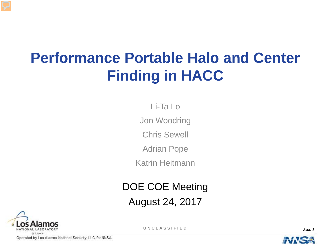# **Performance Portable Halo and Center Finding in HACC**

Li-Ta Lo

Jon Woodring

Chris Sewell

Adrian Pope

Katrin Heitmann

DOE COE Meeting

August 24, 2017



**UNCLASSIFIED** *Slide 1*

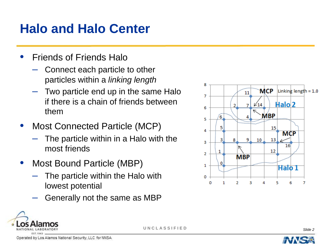### **Halo and Halo Center**

- Friends of Friends Halo
	- Connect each particle to other particles within a *linking length*
	- Two particle end up in the same Halo if there is a chain of friends between them
- Most Connected Particle (MCP)
	- The particle within in a Halo with the most friends
- Most Bound Particle (MBP)
	- The particle within the Halo with lowest potential
	- Generally not the same as MBP





**UNCLASSIFIED** *Slide 2*

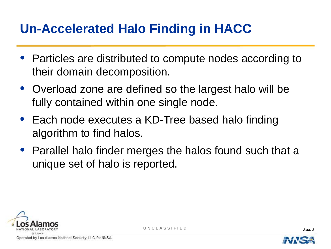# **Un-Accelerated Halo Finding in HACC**

- Particles are distributed to compute nodes according to their domain decomposition.
- Overload zone are defined so the largest halo will be fully contained within one single node.
- Each node executes a KD-Tree based halo finding algorithm to find halos.
- Parallel halo finder merges the halos found such that a unique set of halo is reported.



**UNCLASSIFIED** *Slide 3*

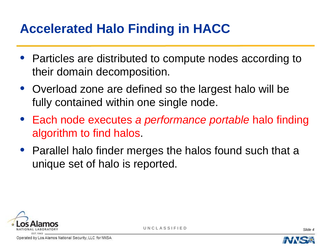# **Accelerated Halo Finding in HACC**

- Particles are distributed to compute nodes according to their domain decomposition.
- Overload zone are defined so the largest halo will be fully contained within one single node.
- Each node executes *a performance portable* halo finding algorithm to find halos.
- Parallel halo finder merges the halos found such that a unique set of halo is reported.



Operated by Los Alamos National Security, LLC for NNSA

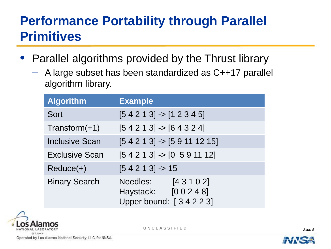#### **Performance Portability through Parallel Primitives**

- Parallel algorithms provided by the Thrust library
	- A large subset has been standardized as C++17 parallel algorithm library.

| <b>Algorithm</b>      | <b>Example</b>                                                       |
|-----------------------|----------------------------------------------------------------------|
| Sort                  | $[5 4 2 1 3]$ -> $[1 2 3 4 5]$                                       |
| $Transform(+1)$       | $[5 4 2 1 3]$ -> $[6 4 3 2 4]$                                       |
| <b>Inclusive Scan</b> | $[5 4 2 1 3]$ -> $[5 9 11 12 15]$                                    |
| <b>Exclusive Scan</b> | $[5 4 2 1 3]$ -> $[0 5 9 11 12]$                                     |
| $Reduce(+)$           | $[54213] \rightarrow 15$                                             |
| <b>Binary Search</b>  | Needles:<br>[43102]<br>Haystack: [0 0 2 4 8]<br>Upper bound: [34223] |



**UNCLASSIFIED** *Slide 5*

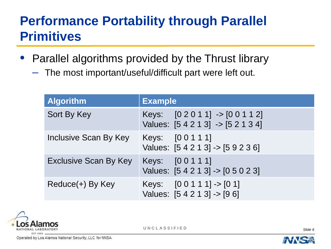#### **Performance Portability through Parallel Primitives**

- Parallel algorithms provided by the Thrust library
	- The most important/useful/difficult part were left out.

| <b>Algorithm</b>             | <b>Example</b>                                                             |
|------------------------------|----------------------------------------------------------------------------|
| Sort By Key                  | Keys: $[0 2 0 1 1]$ -> $[0 0 1 1 2]$<br>Values: [5 4 2 1 3] -> [5 2 1 3 4] |
| Inclusive Scan By Key        | Keys: [0 0 1 1 1]<br>Values: [5 4 2 1 3] -> [5 9 2 3 6]                    |
| <b>Exclusive Scan By Key</b> | Keys: [0 0 1 1 1]<br>Values: [5 4 2 1 3] -> [0 5 0 2 3]                    |
| Reduce(+) By Key             | Keys: $[0 0 1 1 1]$ -> $[0 1]$<br>Values: $[5 4 2 1 3]$ -> $[9 6]$         |



**UNCLASSIFIED** *Slide 6*

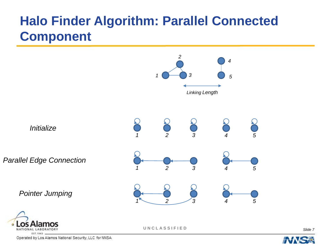#### **Halo Finder Algorithm: Parallel Connected Component**



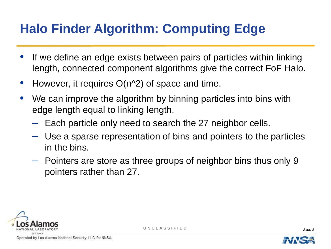# **Halo Finder Algorithm: Computing Edge**

- If we define an edge exists between pairs of particles within linking length, connected component algorithms give the correct FoF Halo.
- However, it requires  $O(n^2)$  of space and time.
- We can improve the algorithm by binning particles into bins with edge length equal to linking length.
	- Each particle only need to search the 27 neighbor cells.
	- Use a sparse representation of bins and pointers to the particles in the bins.
	- Pointers are store as three groups of neighbor bins thus only 9 pointers rather than 27.





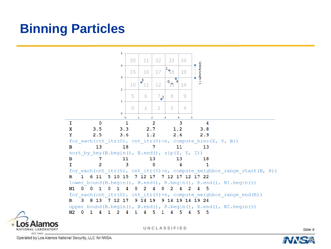# **Binning Particles**



**UNCLASSIFIED** *Slide 9*

Operated by Los Alamos National Security, LLC for NNSA

G.

NATIONAL LABORATORY EST.1943

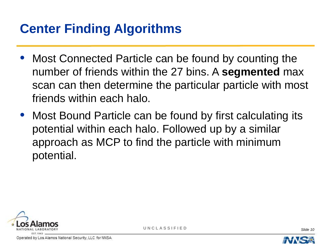# **Center Finding Algorithms**

- Most Connected Particle can be found by counting the number of friends within the 27 bins. A **segmented** max scan can then determine the particular particle with most friends within each halo.
- Most Bound Particle can be found by first calculating its potential within each halo. Followed up by a similar approach as MCP to find the particle with minimum potential.



Operated by Los Alamos National Security, LLC for NNSA

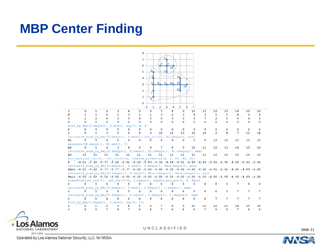#### **MBP Center Finding**





**UNCLASSIFIED** *Slide 11*

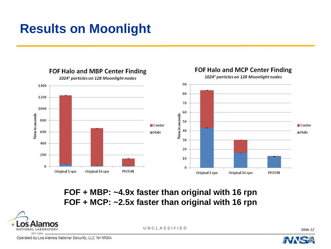### **Results on Moonlight**



#### **FOF + MBP: ~4.9x faster than original with 16 rpn FOF + MCP: ~2.5x faster than original with 16 rpn**



**UNCLASSIFIED** *Slide 12*

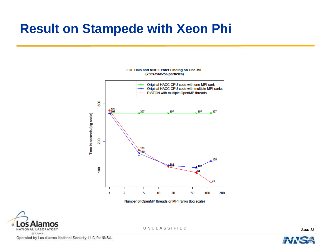#### **Result on Stampede with Xeon Phi**



FOF Halo and MBP Center Finding on One MIC (256x256x256 particles)

Number of OpenMP threads or MPI ranks (log scale)



**UNCLASSIFIED** *Slide 13*